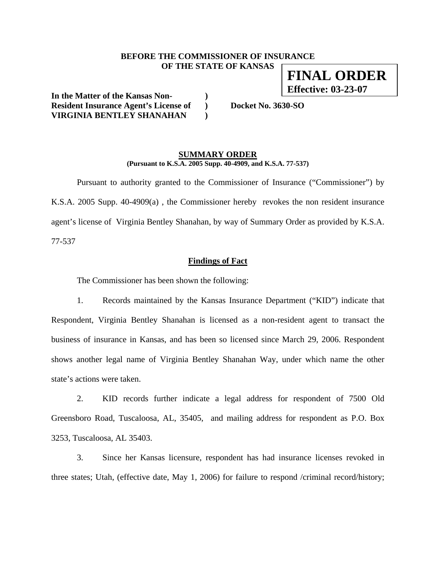#### **BEFORE THE COMMISSIONER OF INSURANCE OF THE STATE OF KANSAS**

**In the Matter of the Kansas Non- ) Resident Insurance Agent's License of ) Docket No. 3630-SO VIRGINIA BENTLEY SHANAHAN )** 

#### **SUMMARY ORDER (Pursuant to K.S.A. 2005 Supp. 40-4909, and K.S.A. 77-537)**

 Pursuant to authority granted to the Commissioner of Insurance ("Commissioner") by K.S.A. 2005 Supp. 40-4909(a) , the Commissioner hereby revokes the non resident insurance agent's license of Virginia Bentley Shanahan, by way of Summary Order as provided by K.S.A. 77-537

#### **Findings of Fact**

The Commissioner has been shown the following:

1. Records maintained by the Kansas Insurance Department ("KID") indicate that Respondent, Virginia Bentley Shanahan is licensed as a non-resident agent to transact the business of insurance in Kansas, and has been so licensed since March 29, 2006. Respondent shows another legal name of Virginia Bentley Shanahan Way, under which name the other state's actions were taken.

2. KID records further indicate a legal address for respondent of 7500 Old Greensboro Road, Tuscaloosa, AL, 35405, and mailing address for respondent as P.O. Box 3253, Tuscaloosa, AL 35403.

3. Since her Kansas licensure, respondent has had insurance licenses revoked in three states; Utah, (effective date, May 1, 2006) for failure to respond /criminal record/history;

**FINAL ORDER Effective: 03-23-07**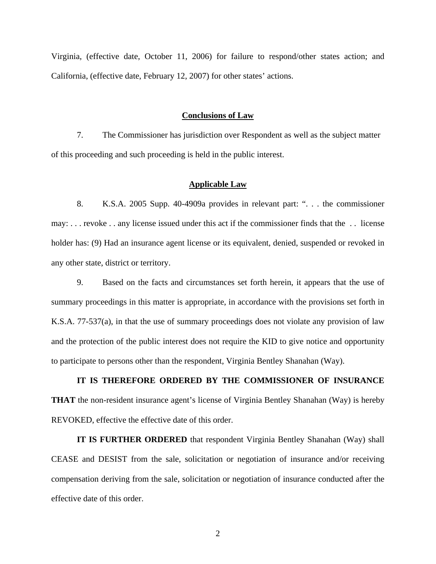Virginia, (effective date, October 11, 2006) for failure to respond/other states action; and California, (effective date, February 12, 2007) for other states' actions.

#### **Conclusions of Law**

7. The Commissioner has jurisdiction over Respondent as well as the subject matter of this proceeding and such proceeding is held in the public interest.

#### **Applicable Law**

8. K.S.A. 2005 Supp. 40-4909a provides in relevant part: ". . . the commissioner may: . . . revoke . . any license issued under this act if the commissioner finds that the . . license holder has: (9) Had an insurance agent license or its equivalent, denied, suspended or revoked in any other state, district or territory.

9. Based on the facts and circumstances set forth herein, it appears that the use of summary proceedings in this matter is appropriate, in accordance with the provisions set forth in K.S.A. 77-537(a), in that the use of summary proceedings does not violate any provision of law and the protection of the public interest does not require the KID to give notice and opportunity to participate to persons other than the respondent, Virginia Bentley Shanahan (Way).

# **IT IS THEREFORE ORDERED BY THE COMMISSIONER OF INSURANCE THAT** the non-resident insurance agent's license of Virginia Bentley Shanahan (Way) is hereby REVOKED, effective the effective date of this order.

**IT IS FURTHER ORDERED** that respondent Virginia Bentley Shanahan (Way) shall CEASE and DESIST from the sale, solicitation or negotiation of insurance and/or receiving compensation deriving from the sale, solicitation or negotiation of insurance conducted after the effective date of this order.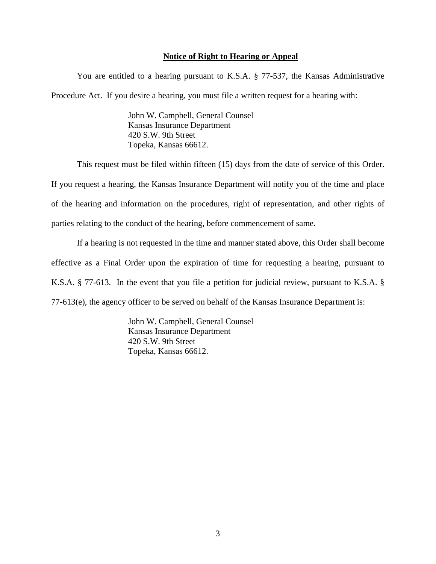#### **Notice of Right to Hearing or Appeal**

You are entitled to a hearing pursuant to K.S.A. § 77-537, the Kansas Administrative Procedure Act. If you desire a hearing, you must file a written request for a hearing with:

> John W. Campbell, General Counsel Kansas Insurance Department 420 S.W. 9th Street Topeka, Kansas 66612.

This request must be filed within fifteen (15) days from the date of service of this Order.

If you request a hearing, the Kansas Insurance Department will notify you of the time and place of the hearing and information on the procedures, right of representation, and other rights of parties relating to the conduct of the hearing, before commencement of same.

If a hearing is not requested in the time and manner stated above, this Order shall become effective as a Final Order upon the expiration of time for requesting a hearing, pursuant to K.S.A. § 77-613. In the event that you file a petition for judicial review, pursuant to K.S.A. § 77-613(e), the agency officer to be served on behalf of the Kansas Insurance Department is:

> John W. Campbell, General Counsel Kansas Insurance Department 420 S.W. 9th Street Topeka, Kansas 66612.